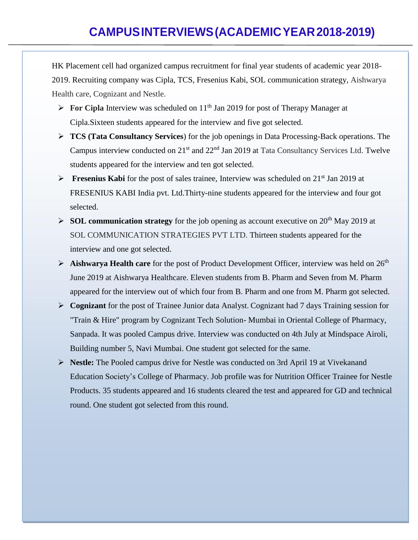HK Placement cell had organized campus recruitment for final year students of academic year 2018- 2019. Recruiting company was Cipla, TCS, Fresenius Kabi, SOL communication strategy, Aishwarya Health care, Cognizant and Nestle.

- $\triangleright$  **For Cipla Interview was scheduled on 11<sup>th</sup> Jan 2019 for post of Therapy Manager at** Cipla.Sixteen students appeared for the interview and five got selected.
- ➢ **TCS (Tata Consultancy Services**) for the job openings in Data Processing-Back operations. The Campus interview conducted on 21<sup>st</sup> and 22<sup>nd</sup> Jan 2019 at Tata Consultancy Services Ltd. Twelve students appeared for the interview and ten got selected.
- ➢ **Fresenius Kabi** for the post of sales trainee, Interview was scheduled on 21st Jan 2019 at FRESENIUS KABI India pvt. Ltd.Thirty-nine students appeared for the interview and four got selected.
- ➢ **SOL communication strategy** for the job opening as account executive on 20th May 2019 at SOL COMMUNICATION STRATEGIES PVT LTD. Thirteen students appeared for the interview and one got selected.
- ➢ **Aishwarya Health care** for the post of Product Development Officer, interview was held on 26th June 2019 at Aishwarya Healthcare. Eleven students from B. Pharm and Seven from M. Pharm appeared for the interview out of which four from B. Pharm and one from M. Pharm got selected.
- ➢ **Cognizant** for the post of Trainee Junior data Analyst. Cognizant had 7 days Training session for "Train & Hire" program by Cognizant Tech Solution- Mumbai in Oriental College of Pharmacy, Sanpada. It was pooled Campus drive. Interview was conducted on 4th July at Mindspace Airoli, Building number 5, Navi Mumbai. One student got selected for the same.
- ➢ **Nestle:** The Pooled campus drive for Nestle was conducted on 3rd April 19 at Vivekanand Education Society's College of Pharmacy. Job profile was for Nutrition Officer Trainee for Nestle Products. 35 students appeared and 16 students cleared the test and appeared for GD and technical round. One student got selected from this round.